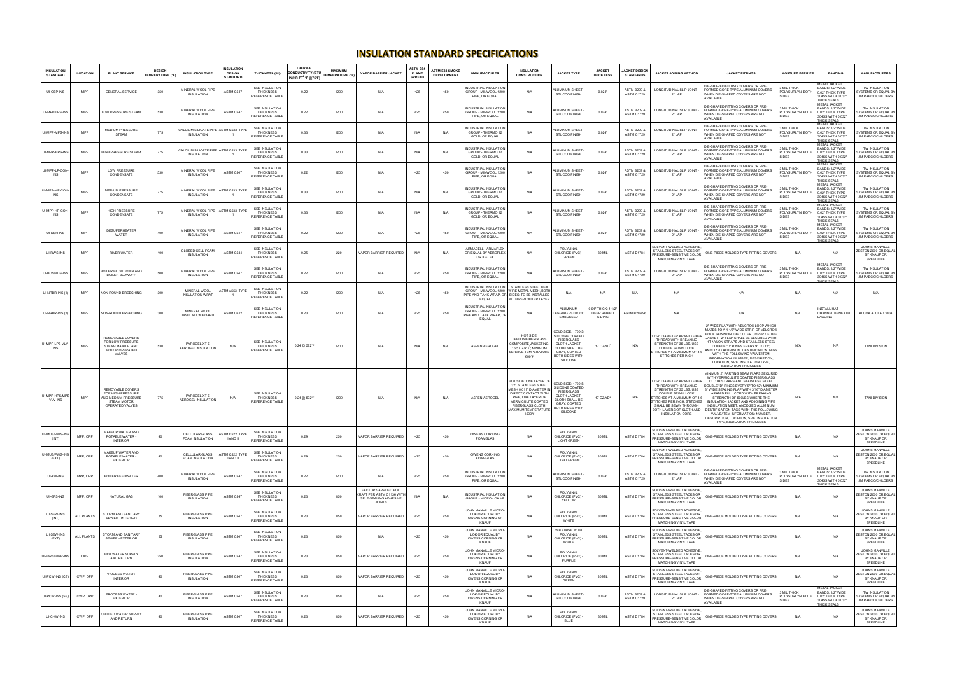## **INSULATION STANDARD SPECIFICATIONS**

| <b>INSULATION</b><br><b>STANDARD</b>   | <b>LOCATION</b> | <b>PLANT SERVICE</b>                                                                                  | <b>DESIGN</b><br><b>TEMPERATURE (°F)</b> | <b>INSULATION TYPE</b>                                    | <b>INSULATION</b><br><b>DESIGN</b><br><b>STANDARD</b> | <b>THICKNESS (IN.)</b>                                       | <b>THERMAL</b><br><b>CONDUCTIVITY (BTU-</b><br>IN/HR-FT <sup>2</sup> °F @75°F) | MAXIMUM<br><b>TEMPERATURE (°F)</b> | <b>VAPOR BARRIER JACKET</b>                                                                 | ASTM E84<br><b>FLAME</b><br><b>SPREAD</b> | <b>ASTM E84 SMOKE</b><br><b>DEVELOPMENT</b> | <b>MANUFACTURER</b>                                                                     | <b>INSULATION</b><br><b>CONSTRUCTION</b>                                                                                                                                                                 | <b>JACKET TYPE</b>                                                                                                                                             | <b>JACKET</b><br><b>THICKNESS</b>           | <b>JACKET DESIGN</b><br><b>STANDARDS</b>    | JACKET JOINING METHOD                                                                                                                                                                                                 | <b>JACKET FITTINGS</b>                                                                                                                                                                                                                                                                                                                                                                                                                                                                                                                    | <b>MOSTURE BARRIER</b>                               | <b>BANDING</b>                                                                                         | <b>MANUFACTURERS</b>                                                            |
|----------------------------------------|-----------------|-------------------------------------------------------------------------------------------------------|------------------------------------------|-----------------------------------------------------------|-------------------------------------------------------|--------------------------------------------------------------|--------------------------------------------------------------------------------|------------------------------------|---------------------------------------------------------------------------------------------|-------------------------------------------|---------------------------------------------|-----------------------------------------------------------------------------------------|----------------------------------------------------------------------------------------------------------------------------------------------------------------------------------------------------------|----------------------------------------------------------------------------------------------------------------------------------------------------------------|---------------------------------------------|---------------------------------------------|-----------------------------------------------------------------------------------------------------------------------------------------------------------------------------------------------------------------------|-------------------------------------------------------------------------------------------------------------------------------------------------------------------------------------------------------------------------------------------------------------------------------------------------------------------------------------------------------------------------------------------------------------------------------------------------------------------------------------------------------------------------------------------|------------------------------------------------------|--------------------------------------------------------------------------------------------------------|---------------------------------------------------------------------------------|
| UI-GSP-INS                             | <b>MPP</b>      | <b>GENERAL SERVICE</b>                                                                                | 350                                      | MINERAL WOOL PIPE<br>INSULATION                           | ASTM C547                                             | SEE INSULATION<br>THICKNESS<br><b>REFERENCE TABLE</b>        | 0.22                                                                           | 1200                               | N/A                                                                                         | $25$                                      | < 50                                        | <b>NDUSTRIAL INSULATION</b><br>GROUP - MINWOOL 1200<br>PIPE, OR EQUAL                   | N/A                                                                                                                                                                                                      | ALUMINUM SHEET<br><b>STUCCO FINISH</b>                                                                                                                         | 0.024"                                      | <b>ASTM B209 &amp;</b><br><b>ASTM C1729</b> | LONGITUDINAL SLIP JOINT<br>$2"$ LAP                                                                                                                                                                                   | DIE-SHAPED FITTING COVERS OR PRE-<br>FORMED GORE-TYPE ALUMINUM COVERS<br>WHEN DIE-SHAPED COVERS ARE NOT<br>AVAILABLE                                                                                                                                                                                                                                                                                                                                                                                                                      | MI THICK<br>POLYSURLYN, BOTH<br>SIDES                | <b>METAL JACKET</b><br>BANDS: 1/2" WIDE<br>0.02" THICK TYPE<br>304SS WITH 0.032<br>THICK SEALS         | <b>ITW INSULATION</b><br>SYSTEMS OR EQUAL BY<br>JM PABCO/CHILDERS               |
| UI-MPP-LPS-IN                          | <b>MPP</b>      | LOW PRESSURE STEAM                                                                                    | 530                                      | <b>JINERAI WOOL PIPE</b><br>INSULATION                    | ASTM C547                                             | SEE INSULATION<br>THICKNESS<br>REFERENCE TABLE               | 0.22                                                                           | 1200                               | N/A                                                                                         | $25$                                      | < 50                                        | <b>JOUSTRIAL INSULATION</b><br>GROUP - MINWOOL 1200<br>PIPE, OR EQUAL                   | N/A                                                                                                                                                                                                      | <b>ILUMINUM SHEE</b><br><b>STUCCO FINISH</b>                                                                                                                   | 0.024"                                      | <b>ASTM B209 &amp;</b><br><b>ASTM C1729</b> | LONGITUDINAL SLIP JOINT<br>$2"$   AP                                                                                                                                                                                  | DIE-SHAPED FITTING COVERS OR PRE-<br>FORMED GORE-TYPE ALUMINUM COVERS<br>WHEN DIE-SHAPED COVERS ARE NOT<br>AVAILABLE                                                                                                                                                                                                                                                                                                                                                                                                                      | MII THICK<br>POLYSURLYN, BOTH<br>SIDES               | <b>METAL JACKET</b><br>BANDS: 1/2" WIDE<br>0.02" THICK TYPE<br>304SS WITH 0.032"<br><b>THICK SEALS</b> | <b>ITW INSULATION</b><br>SYSTEMS OR EQUAL B'<br>JM PABCO/CHILDERS               |
| UI-MPP-MPS-INS                         | <b>MPP</b>      | <b>MEDIUM PRESSURE</b><br><b>STEAM</b>                                                                | 775                                      | ALCIUM SILICATE PIPE ASTM C533, TYPE<br><b>INSULATION</b> |                                                       | <b>SEE INSULATION</b><br><b>THICKNESS</b><br>REFERENCE TABLE | 0.33                                                                           | 1200                               | N/A                                                                                         | N/A                                       | N/A                                         | NDUSTRIAL INSULATION<br>GROUP - THERMO 12<br>GOLD, OR EQUAL                             | N/A                                                                                                                                                                                                      | ALUMINUM SHEET<br><b>STUCCO FINISH</b>                                                                                                                         | 0.024"                                      | <b>ASTM B209 &amp;</b><br>ASTM C1729        | LONGITUDINAL SLIP JOINT<br>$2"$ LAP                                                                                                                                                                                   | DIE-SHAPED FITTING COVERS OR PRE-<br>FORMED GORE-TYPE ALUMINUM COVERS<br>WHEN DIE-SHAPED COVERS ARE NOT<br>AVAILABLE                                                                                                                                                                                                                                                                                                                                                                                                                      | MII THICK<br>POLYSURLYN, BOTH<br><b>SIDES</b>        | <b>IETAL JACKET</b><br>BANDS: 1/2" WIDE<br>0.02" THICK TYPE<br>304SS WITH 0.032'<br><b>HICK SEALS</b>  | <b>ITW INSULATION</b><br>SYSTEMS OR EQUAL BY<br>JM PABCO/CHILDERS               |
| UI-MPP-HPS-INS                         | <b>MPP</b>      | HIGH PRESSURE STEAM                                                                                   | 775                                      | ALCIUM SILICATE PIPE ASTM C533, TYPE<br><b>INSULATION</b> |                                                       | SEE INSULATION<br>THICKNESS<br>REFERENCE TABLE               | 0.33                                                                           | 1200                               | N/A                                                                                         | N/A                                       | N/A                                         | NDUSTRIAL INSULATION<br>GROUP - THERMO 12<br>GOLD, OR EQUAL                             | N/A                                                                                                                                                                                                      | ALUMINUM SHEET<br>STUCCO FINISH                                                                                                                                | 0.024"                                      | <b>ASTM B209 &amp;</b><br><b>ASTM C1729</b> | LONGITUDINAL SLIP JOINT<br>2" LAP                                                                                                                                                                                     | DIE-SHAPED FITTING COVERS OR PRE<br>FORMED GORE-TYPE ALUMINUM COVERS<br>WHEN DIE-SHAPED COVERS ARE NOT<br>AVAILABLE                                                                                                                                                                                                                                                                                                                                                                                                                       | MII THICK<br>POLYSURLYN, BOTH<br>SIDES               | <b>METAL JACKET</b><br>BANDS: 1/2" WIDE<br>0.02" THICK TYPE<br>304SS WITH 0.032"<br>THICK SEALS        | <b>ITW INSULATION</b><br>SYSTEMS OR EQUAL BY<br>JM PABCO/CHILDERS               |
| UI-MPP-LP-CON<br><b>INS</b>            | <b>MPP</b>      | LOW PRESSURE<br>CONDENSATE                                                                            | 530                                      | MINERAL WOOL PIPE<br>INSULATION                           | ASTM C547                                             | <b>SEE INSULATION</b><br><b>THICKNESS</b><br>REFERENCE TABLE | 0.22                                                                           | 1200                               | N/A                                                                                         | $25$                                      | $<50$                                       | <b>NDUSTRIAL INSULATION</b><br>GROUP - MINWOOL 1200<br>PIPE, OR EQUAL                   | N/A                                                                                                                                                                                                      | ALUMINUM SHEET<br><b>STUCCO FINISH</b>                                                                                                                         | 0.024"                                      | <b>ASTM B209 &amp;</b><br><b>ASTM C1729</b> | LONGITUDINAL SLIP JOINT<br>$2"$ LAP                                                                                                                                                                                   | DIE-SHAPED FITTING COVERS OR PRE<br>FORMED GORE-TYPE ALUMINUM COVERS<br>WHEN DIE-SHAPED COVERS ARE NOT<br>AVAILABLE                                                                                                                                                                                                                                                                                                                                                                                                                       | MII THICK<br>POLYSURLYN, BOTH<br><b>SIDES</b>        | <b>METAL JACKET</b><br>BANDS: 1/2" WIDE<br>0.02" THICK TYPE<br>304SS WITH 0.032"<br>THICK SEALS        | <b>ITW INSULATION</b><br>YSTEMS OR EQUAL B'<br>JM PABCO/CHILDERS                |
| I-MPP-MP-CON<br>INS                    | <b>MPP</b>      | <b>MEDIUM PRESSURE</b><br>CONDENSATE                                                                  | 775                                      | MINERAL WOOL PIPE<br><b>INSULATION</b>                    | ASTM C533, TYPE                                       | SEE INSULATION<br><b>THICKNESS</b><br>REFERENCE TABLE        | 0.33                                                                           | 1200                               | N/A                                                                                         | N/A                                       | N/A                                         | NDUSTRIAL INSULATION<br>GROUP - THERMO 12<br>GOLD, OR EQUAL                             | N/A                                                                                                                                                                                                      | ALUMINUM SHEET<br>STUCCO FINISH                                                                                                                                | 0.024"                                      | <b>ASTM B209 8</b><br><b>ASTM C1729</b>     | LONGITUDINAL SLIP JOINT<br>2" LAP                                                                                                                                                                                     | DIE-SHAPED FITTING COVERS OR PRE-<br>FORMED GORE-TYPE ALUMINUM COVERS<br>WHEN DIE-SHAPED COVERS ARE NOT<br>AVAILABLE                                                                                                                                                                                                                                                                                                                                                                                                                      | MIL THICK<br>POLYSURLYN, BOTH<br>SIDES               | METAL JACKET<br>BANDS: 1/2" WIDE<br>0.02" THICK TYPE<br>304SS WITH 0.032"<br>THICK SFAI S              | <b>ITW INSULATION</b><br>SYSTEMS OR EQUAL BY<br>JM PABCO/CHILDERS               |
| JI-MPP-HP-CON<br><b>INS</b>            | <b>MPP</b>      | <b>HIGH PRESSURE</b><br>CONDENSATE                                                                    | 775                                      | MINERAL WOOL PIPE<br><b>INSULATION</b>                    | ASTM C533, TYPE                                       | <b>SEE INSULATION</b><br><b>THICKNESS</b><br>REFERENCE TABLE | 0.33                                                                           | 1200                               | N/A                                                                                         | N/A                                       | N/A                                         | <b>IDUSTRIAL INSULATION</b><br>GROUP - THERMO 12<br>GOLD, OR EQUAL                      | N/A                                                                                                                                                                                                      | ALUMINUM SHEET<br><b>STUCCO FINISH</b>                                                                                                                         | 0.024"                                      | <b>ASTM B209 &amp;</b><br><b>ASTM C1729</b> | LONGITUDINAL SLIP JOINT<br>$2"$ LAP                                                                                                                                                                                   | DIE-SHAPED FITTING COVERS OR PRE-<br>FORMED GORE-TYPE ALUMINUM COVERS<br>WHEN DIE-SHAPED COVERS ARE NOT<br>AVAII ARI F                                                                                                                                                                                                                                                                                                                                                                                                                    | <b>MIL THICK</b><br>POLYSURLYN, BOTH<br><b>SIDES</b> | METAL JACKE<br>BANDS: 1/2" WIDE<br>0.02" THICK TYPE<br>304SS WITH 0.032"<br><b>THICK SEALS</b>         | <b>ITW INSULATION</b><br>SYSTEMS OR EQUAL B'<br>JM PABCO/CHILDERS               |
| UI-DSH-INS                             | <b>MPP</b>      | DESUPERHEATER<br>WATER                                                                                | 400                                      | MINFRAL WOOL PIPE<br>INSULATION                           | ASTM C547                                             | SEE INSULATION<br>THICKNESS<br>REFERENCE TABLE               | 0.22                                                                           | 1200                               | N/A                                                                                         | $25$                                      | $50$                                        | NDUSTRIAL INSULATION<br>GROUP - MINWOOL 1200<br>PIPE, OR EQUAL                          | N/A                                                                                                                                                                                                      | ALUMINUM SHEET<br><b>STUCCO FINISH</b>                                                                                                                         | 0.024"                                      | <b>ASTM B209 &amp;</b><br><b>ASTM C1729</b> | <b>LONGITUDINAL SLIP JOINT</b><br>2" LAP                                                                                                                                                                              | DIE-SHAPED FITTING COVERS OR PRE-<br>FORMED GORE-TYPE ALUMINUM COVERS<br>WHEN DIE-SHAPED COVERS ARE NOT<br>AVAILABLE                                                                                                                                                                                                                                                                                                                                                                                                                      | <b>MIL THICK</b><br>POLYSURLYN, BOTH<br><b>SIDES</b> | <b>METAL JACKET</b><br>BANDS: 1/2" WIDE<br>0.02" THICK TYPE<br>304SS WITH 0.032<br><b>HICK SEALS</b>   | <b>ITW INSULATION</b><br><b>SYSTEMS OR EQUAL BY</b><br><b>JM PABCO/CHILDERS</b> |
| UI-RWS-INS                             | <b>MPP</b>      | <b>RIVER WATER</b>                                                                                    | 100                                      | CLOSED CELL FOAM<br>INSULATION                            | ASTM C534                                             | SEE INSULATION<br>THICKNESS<br>REFERENCE TABLE               | 0.25                                                                           | 220                                | VAPOR BARRIER REQUIRED                                                                      | N/A                                       | N/A                                         | <b>ARMACELL - ARMAELEX</b><br>OR EQUAL BY AEROFLEX<br>OR K-FLEX                         | N/A                                                                                                                                                                                                      | POI YVINYI<br>CHLORIDE (PVC) -<br>GREEN                                                                                                                        | 30 MIL                                      | ASTM D1784                                  | SOLVENT-WELDED ADHESIVE<br>STAINLESS STEEL TACKS OR<br>PRESSURE-SENSITIVE COLOR<br>MATCHING VINYL TAPE                                                                                                                | ONE-PIECE MOLDED TYPE FITTING COVERS                                                                                                                                                                                                                                                                                                                                                                                                                                                                                                      | N/A                                                  | N/A                                                                                                    | JOHNS MANVILLE<br>ZESTON 2000 OR EQUA<br>BY KNAUF OR<br>SPEEDLINE               |
| UI-BOS/BDS-INS                         | <b>MPP</b>      | OILER BLOWDOWN AND<br><b>BOILER BLOWOFF</b>                                                           | 500                                      | MINERAL WOOL PIPI<br>INSULATION                           | ASTM C547                                             | <b>SEE INSULATION</b><br>THICKNESS<br>REFERENCE TABLE        | 0.22                                                                           | 1200                               | N/A                                                                                         | $25$                                      | $50$                                        | NDUSTRIAL INSULATION<br>GROUP - MINWOOL 1200<br>PIPE, OR EQUAL                          | N/A                                                                                                                                                                                                      | ALUMINUM SHEE <sup>®</sup><br><b>STUCCO FINISH</b>                                                                                                             | 0.024"                                      | <b>ASTM B209 &amp;</b><br><b>ASTM C1729</b> | LONGITUDINAL SLIP JOINT-<br>2" LAP                                                                                                                                                                                    | <b>IDIF-SHAPED FITTING COVERS OR PRE-</b><br>FORMED GORE-TYPE ALUMINUM COVERS<br>WHEN DIE-SHAPED COVERS ARE NOT<br>AVAILABLE                                                                                                                                                                                                                                                                                                                                                                                                              | MII THICK<br>POLYSURLYN, BOTH<br>SIDES               | METAL JACKE <sup>-</sup><br>BANDS: 1/2" WIDE<br>0.02" THICK TYPE<br>304SS WITH 0.032"<br>THICK SEALS   | <b>ITW INSULATION</b><br>SYSTEMS OR EQUAL B<br>JM PABCO/CHILDERS                |
| UI-NRBR-INS (1)                        | <b>MPP</b>      | NON-ROUND BREECHING                                                                                   | 300                                      | MINERAL WOOL<br><b>NSULATION WRAF</b>                     | <b>STM A553, TYPE</b>                                 | <b>SEE INSULATION</b><br>THICKNESS<br>REFERENCE TABLE        | 0.22                                                                           | 1200                               | N/A                                                                                         | $25$                                      | $50$                                        | EQUAL                                                                                   | INDUSTRIAL INSULATION STAINLESS STEEL HEX<br>GROUP - MINWOOL 1200 WIRE METAL MESH. BOTH<br>PIPE AND TANK WRAP, OR SIDES; TO BE INSTALLED<br>WITH PE-9 OUTER LAYER                                        | N/A                                                                                                                                                            | N/A                                         | N/A                                         | N/A                                                                                                                                                                                                                   | N/A                                                                                                                                                                                                                                                                                                                                                                                                                                                                                                                                       | N/A                                                  | N/A                                                                                                    | N/A                                                                             |
| UI-NRBR-INS (2)                        | <b>MPP</b>      | NON-ROUND BREECHING                                                                                   | 300                                      | MINERAL WOOL<br><b>INSULATION BOARD</b>                   | ASTM C612                                             | SEE INSULATION<br><b>THICKNESS</b><br>REFERENCE TABLE        | 0.23                                                                           | 1200                               | N/A                                                                                         | $25$                                      | $50$                                        | <b>INDUSTRIAL INSULATION</b><br>GROUP - MINWOOL 1200<br>PIPE AND TANK WRAP, OR<br>EQUAL | N/A                                                                                                                                                                                                      | ALUMINUM<br>LAGGING - STUCCC<br><b>EMBOSSED</b>                                                                                                                | 0.04" THICK: 1.1/2<br>DEEP RIBBED<br>SIDING | <b>ASTM B209-96</b>                         | N/A                                                                                                                                                                                                                   | N/A                                                                                                                                                                                                                                                                                                                                                                                                                                                                                                                                       | N/A                                                  | <b>NSTALL HAT</b><br>CHANNEL BENEATH<br>LAGGING                                                        | ALCOA ALCLAD 3004                                                               |
| UI-MPP-LPS-VLV<br>INS                  | <b>MPP</b>      | REMOVABLE COVERS<br>FOR LOW PRESSURE<br>STEAM MANUAL AND<br>MOTOR OPERATED<br>VALVES                  | 530                                      | PYROGEL XT-E<br>AEROGEL INSULATION                        | N/A                                                   | <b>SEE INSULATION</b><br><b>THICKNESS</b><br>REFERENCE TABLE | 0.24 @ 572*F                                                                   | 1200                               | N/A                                                                                         | N/A                                       | N/A                                         | ASPEN AEROGEL                                                                           | HOT SIDE:<br>TEFLON/FIBERGLASS<br><b>COMPOSITE JACKETING</b><br>$16.5$ OZ/YD <sup>2</sup> ; MINIMUM<br>SERVICE TEMPERATURE<br>600°F                                                                      | COLD SIDE: 1700-3<br>SILICONE COATED<br><b>FIBERGLASS</b><br><b>CLOTH JACKET</b><br>CLOTH SHALL BE<br><b>GRAY COATED</b><br>BOTH SIDES WITH<br><b>SILICONE</b> | $17$ OZND <sup>2</sup>                      | N/A                                         | .114" DIAMETER ARAMID FIBER<br>THREAD WITH BREAKING<br>STRENGTH OF 35 LBS, USE<br>DOUBLE SEWN LOCK<br>STITCHES AT A MINIMUM OF 4-6<br>STITCHES PER INCH                                                               | 2" WIDE FLAP WITH VELCRO® LOOP WHICH<br>MATES TO A 1 1/2" WIDE STRIP OF VELCRO®<br>HOOK SEWN ON THE OUTER COVER OF THE<br>JACKET. 2" FLAP SHALL BE SECURED WITH<br>HT NYLON STRAPS AND STAINLESS STEEI<br>DOUBLE "D" RINGS EVERY 9" TO 12":<br>ANODIZED ALUMINUM IDENTIFICATION TAGS<br>WITH THE FOLLOWING VALVE/ITEM<br>INFORMATION: NUMBER DESCRIPTION<br>LOCATION, SIZE, INSULATION TYPE,<br><b>INSULATION THICKNESS</b>                                                                                                               | N/A                                                  | N/A                                                                                                    | <b>TANI DIVISION</b>                                                            |
| <b>II-MPP-HPS/MP</b><br><b>VLV-INS</b> | <b>MPP</b>      | RFMOVABLE COVERS<br>FOR HIGH PRESSURE<br>AND MEDIUM PRESSURE<br><b>STEAM MOTOR</b><br>OPERATED VALVES | 775                                      | PYROGEL XT-E<br><b>AEROGEL INSULATION</b>                 | N/A                                                   | <b>SEE INSULATION</b><br>THICKNESS<br>REFERENCE TABLE        | $0.24 \ @ 572$ °F                                                              | 1200                               | N/A                                                                                         | N/A                                       | N/A                                         | ASPEN AEROGEL                                                                           | HOT SIDE: ONE LAYER O<br>321 STAINLESS STEEL<br>MESH 0.011" DIAMETER IN<br>DIRECT CONTACT WITH<br>PIPE, ONE LAYER OF<br>VERMICLILITE COATED<br><b>FIBERGLASS CLOTH:</b><br>MAXIMUM TEMPERATURE<br>1500°F | COLD SIDE: 1700-3<br>SILICONE COATED<br><b>FIBERGLASS</b><br><b>CLOTH JACKET</b><br><b>CLOTH SHALL B</b><br><b>GRAY, COATED</b><br>BOTH SIDES WITH<br>SILICONE | 17 OZ/YD <sup>2</sup>                       | N/A                                         | .114" DIAMETER ARAMID FIBER<br>THREAD WITH BREAKING<br>STRENGTH OF 35 LBS, USE<br>DOUBLE SEWN LOCK<br>STITCHES AT A MINIMUM OF 4-6<br>STITCHES PER INCH; STITCHES<br>SHALL BE SEWN THROUGH.<br><b>INSULATION CORE</b> | MINIMUM 2" PARTING SEAM FLAPS SECURED<br>WITH VERMICULITE COATED FIBERGLASS<br>CLOTH STRAPS AND STAINLESS STEEL<br>DOUBLE "D" RINGS EVERY 9" TO 12": MINIMUM<br>3" WIDE SEALING FLAP WITH 3/16" DIAMETER<br>ARAMID PULL CORD WITH BREAKING<br>STRENGTH OF 500LBS WHERE THE<br>INSULATION JACKET AND ADJOINING PIPE<br>INSULATION MEET: ANODIZED ALUMINUM<br>BOTH LAYERS OF CLOTH AND   IDENTIFICATION TAGS WITH THE FOLLOWING<br>VAI VE/ITEM INFORMATION: NUMBER<br>DESCRIPTION, LOCATION, SIZE, INSULATION<br>TYPE INSHI ATION THICKNESS | N/A                                                  | N/A                                                                                                    | <b>TANI DIVISION</b>                                                            |
| JI-MUS/PWS-IN<br>(INT)                 | MPP OPP         | MAKEUP WATER AND<br>POTABLE WATER<br><b>INTERIOR</b>                                                  | 40                                       | CELLULAR GLASS<br>FOAM INSULATION                         | <b>ASTM C522, TYPE</b><br>II AND III                  | <b>SEE INSULATION</b><br><b>THICKNESS</b><br>REFERENCE TABLE | 0.29                                                                           | 250                                | VAPOR BARRIER REQUIRED                                                                      | $25$                                      | $50$                                        | OWENS CORNING<br>FOAMGLAS                                                               | N/A                                                                                                                                                                                                      | POLYVINYL<br>CHLORIDE (PVC) -<br><b>LIGHT GREEN</b>                                                                                                            | 30 MIL                                      | ASTM D1784                                  | SOLVENT-WELDED ADHESIVE<br>STAINLESS STEEL TACKS OR<br>PRESSURE-SENSITIVE COLOR<br>MATCHING VINYL TAPE                                                                                                                | ONE-PIECE MOLDED TYPE FITTING COVERS                                                                                                                                                                                                                                                                                                                                                                                                                                                                                                      | N/A                                                  | N/A                                                                                                    | JOHNS MANVILLE<br>ESTON 2000 OR EQUAL<br>BY KNAUF OR<br>SPEEDLINE               |
| II-MUS/PWS-IN<br>(EXT)                 | MPP, OPP        | MAKEUP WATER AND<br>POTABLE WATER -<br>EXTERIOR                                                       | 40                                       | CELLUI AR GLASS<br>FOAM INSULATION                        | <b>ASTM C522, TYPI</b><br>II AND III                  | SEE INSULATION<br><b>THICKNESS</b><br>REFERENCE TABLE        | 0.29                                                                           | 250                                | VAPOR BARRIER REQUIRED                                                                      | $25$                                      | $50$                                        | OWENS CORNING<br>FOAMGLAS                                                               | N/A                                                                                                                                                                                                      | POLYVINYL<br>CHLORIDE (PVC) -<br>LIGHT GREEN                                                                                                                   | 30 MIL                                      | ASTM D1784                                  | SOLVENT-WELDED ADHESIVE.<br>STAINLESS STEEL TACKS OR<br>PRESSURE-SENSITIVE COLOR<br>MATCHING VINYL TAPE                                                                                                               | ONE-PIECE MOLDED TYPE FITTING COVERS                                                                                                                                                                                                                                                                                                                                                                                                                                                                                                      | N/A                                                  | N/A                                                                                                    | <b>JOHNS MANVILLE</b><br>ESTON 2000 OR EQUA<br>BY KNAUF OR<br>SPEEDLINE         |
| UI-FW-INS                              | MPP, OPP        | <b>BOILER FEEDWATER</b>                                                                               | 400                                      | MINERAL WOOL PIPE<br>INSULATION                           | ASTM C547                                             | <b>SEE INSULATION</b><br><b>THICKNESS</b><br>REFERENCE TABLE | 0.22                                                                           | 1200                               | N/A                                                                                         | $25$                                      | 50                                          | NDUSTRIAL INSULATION<br>GROUP - MINWOOL 1200<br>PIPE, OR EQUAL                          | N/A                                                                                                                                                                                                      | ALUMINUM SHEET<br>STUCCO FINISH                                                                                                                                | 0.024"                                      | <b>ASTM B209 &amp;</b><br><b>ASTM C1729</b> | LONGITUDINAL SLIP JOINT<br>$2"$ LAP                                                                                                                                                                                   | DIE-SHAPED FITTING COVERS OR PRE-<br>FORMED GORE-TYPE ALUMINUM COVERS<br>WHEN DIE-SHAPED COVERS ARE NOT<br>AVAILABLE                                                                                                                                                                                                                                                                                                                                                                                                                      | MII THICK<br>POLYSURLYN, BOTH<br>SIDES               | <b>METAL JACKET</b><br>BANDS: 1/2" WIDE<br>0.02" THICK TYPE<br>304SS WITH 0.032"<br><b>THICK SEALS</b> | <b>ITW INSULATION</b><br>YSTEMS OR EQUAL BY<br>JM PABCO/CHILDERS                |
| UI-GFS-INS                             | MPP OPP         | NATURAL GAS                                                                                           | 100                                      | <b>FIBERGLASS PIPE</b><br>INSULATION                      | ASTM C547                                             | <b>SEE INSULATION</b><br><b>THICKNESS</b><br>REFERENCE TABLE | 0.23                                                                           | 850                                | FACTORY-APPLIED FOIL<br>KRAFT PER ASTM C1136 WITH<br>SELF-SEALING ADHESIVE<br><b>JOINTS</b> | N/A                                       | N/A                                         | NDUSTRIAL INSULATION<br>GROUP - MICRO-LOK HP                                            | N/A                                                                                                                                                                                                      | POLYVINYL<br>CHLORIDE (PVC)<br>YELLOW                                                                                                                          | 30 MIL                                      | ASTM D1784                                  | SOLVENT-WELDED ADHESIVE<br>STAINLESS STEEL TACKS OR<br>PRESSURE-SENSITIVE COLOR<br>MATCHING VINYL TAPE                                                                                                                | ONE-PIECE MOLDED TYPE FITTING COVERS                                                                                                                                                                                                                                                                                                                                                                                                                                                                                                      | N/A                                                  | N/A                                                                                                    | JOHNS MANVILLE<br>ESTON 2000 OR EQUAL<br>BY KNAUF OR<br>SPEEDLINE               |
| UI-SEW-INS<br>(INT)                    | ALL PLANTS      | STORM AND SANITARY<br>SEWER - INTERIOR                                                                | 35                                       | <b>FIBERGI ASS PIPE</b><br>INSULATION                     | ASTM C547                                             | SEE INSULATION<br>THICKNESS<br>REFERENCE TABLE               | 0.23                                                                           | 850                                | VAPOR BARRIER REQUIRED                                                                      | $25$                                      | < 50                                        | JOHN MANVILLE MICRO-<br>LOK OR EQUAL BY<br>OWENS CORNING OR<br><b>KNAUF</b>             | N/A                                                                                                                                                                                                      | POLYVINYL<br>CHLORIDE (PVC) -<br>WHITE                                                                                                                         | 30 MIL                                      | ASTM D1784                                  | SOLVENT-WELDED ADHESIVE.<br>STAINLESS STEEL TACKS OR<br>PRESSURE-SENSITIVE COLOR<br>MATCHING VINYL TAPE                                                                                                               | ONE-PIECE MOLDED TYPE FITTING COVERS                                                                                                                                                                                                                                                                                                                                                                                                                                                                                                      | N/A                                                  | N/A                                                                                                    | JOHNS MANVILLE<br>ESTON 2000 OR EQUA<br>BY KNAUF OR<br>SPEEDLINE                |
| UI-SEW-INS<br>(EXT)                    | ALL PLANTS      | STORM AND SANITARY<br>SEWER - EXTERIOR                                                                | 35                                       | <b>FIBERGLASS PIPE</b><br>INSULATION                      | ASTM C547                                             | SEE INSULATION<br>THICKNESS<br>REFERENCE TABLE               | 0.23                                                                           | 850                                | N/A                                                                                         | $25$                                      | 50                                          | <b>IOHN MANVILLE MICRO-</b><br>LOK OR EQUAL BY<br>OWENS CORNING OR<br><b>KNAUF</b>      | N/A                                                                                                                                                                                                      | WB FINISH WITH<br>POLYVINYL<br>CHLORIDE (PVC)<br>WHITE                                                                                                         | 30 MIL                                      | ASTM D1784                                  | SOLVENT-WELDED ADHESIVE,<br>STAINLESS STEEL TACKS OR<br>PRESSURE-SENSITIVE COLOR<br>MATCHING VINYL TAPE                                                                                                               | ONE-PIECE MOLDED TYPE FITTING COVERS                                                                                                                                                                                                                                                                                                                                                                                                                                                                                                      | N/A                                                  | N/A                                                                                                    | JOHNS MANVILLE<br>ESTON 2000 OR EQUA<br>BY KNAUF OR<br>SPEEDLINE                |
| JI-HWS/HWR-INS                         | OPP             | HOT WATER SUPPLY<br>AND RETURN                                                                        | 250                                      | <b>FIBERGLASS PIPE</b><br>INSULATION                      | ASTM C547                                             | <b>SEE INSULATION</b><br>THICKNESS<br>REFERENCE TABLE        | 0.23                                                                           | 850                                | VAPOR BARRIER REQUIRED                                                                      | $25$                                      | $50$                                        | <b>IOHN MANVILLE MICRO-</b><br>LOK OR EQUAL BY<br>OWENS CORNING OR<br>KNAUF             | N/A                                                                                                                                                                                                      | POLYVINYL<br>CHLORIDE (PVC)<br>PURPLE                                                                                                                          | 30 MIL                                      | ASTM D1784                                  | SOLVENT-WELDED ADHESIVE,<br>STAINLESS STEEL TACKS OR<br>PRESSURE-SENSITIVE COLOR<br><b>MATCHING VINYL TAPE</b>                                                                                                        | ONE-PIECE MOLDED TYPE FITTING COVERS                                                                                                                                                                                                                                                                                                                                                                                                                                                                                                      | N/A                                                  | N/A                                                                                                    | JOHNS MANVILLE<br>ESTON 2000 OR EQUA<br>BY KNAUF OR<br>SPEEDLINE                |
| UI-PCW-INS (CS)                        | CWP, OPP        | PROCESS WATER<br><b>INTERIOR</b>                                                                      | 40                                       | <b>FIBERGLASS PIPE</b><br>INSULATION                      | ASTM C547                                             | SEE INSULATION<br><b>THICKNESS</b><br>REFERENCE TABLE        | 0.23                                                                           | 850                                | VAPOR BARRIER REQUIRED                                                                      | $25$                                      | $50$                                        | JOHN MANVILLE MICRO-<br>LOK OR EQUAL BY<br>OWENS CORNING OR<br>KNAUF                    | N/A                                                                                                                                                                                                      | POLYVINYL<br>CHLORIDE (PVC) -<br>GREEN                                                                                                                         | 30 MIL                                      | ASTM D1784                                  | SOLVENT-WELDED ADHESIVE<br>STAINLESS STEEL TACKS OR<br>PRESSURE-SENSITIVE COLOR<br>MATCHING VINYL TAPE                                                                                                                | ONE-PIECE MOLDED TYPE FITTING COVERS                                                                                                                                                                                                                                                                                                                                                                                                                                                                                                      | N/A                                                  | N/A                                                                                                    | JOHNS MANVILLE<br>ESTON 2000 OR EQUAL<br>BY KNAUF OR<br>SPEEDLINE               |
| UI-PCW-INS (SS                         | CWP, OPP        | PROCESS WATER<br><b>EXTERIOR</b>                                                                      | 40                                       | <b>FIBERGLASS PIPE</b><br><b>INSULATION</b>               | ASTM C547                                             | SEE INSULATION<br><b>THICKNESS</b><br>REFERENCE TABLE        | 0.23                                                                           | 850                                | N/A                                                                                         | $25$                                      | 50                                          | JOHN MANVILLE MICRO<br>LOK OR EQUAL BY<br>OWENS CORNING OR<br><b>KNAUF</b>              | N/A                                                                                                                                                                                                      | ALUMINUM SHEET<br>STUCCO FINISH                                                                                                                                | 0.024"                                      | <b>ASTM B209 &amp;</b><br>ASTM C1729        | LONGITUDINAL SLIP JOINT<br>$2"$ LAP                                                                                                                                                                                   | DIE-SHAPED FITTING COVERS OR PRE-<br>FORMED GORE-TYPE ALUMINUM COVERS<br>WHEN DIE-SHAPED COVERS ARE NOT<br>AVAILABLE                                                                                                                                                                                                                                                                                                                                                                                                                      | <b>MIL THICK</b><br>POLYSURLYN, BOTH<br>SIDES        | <b>METAL JACKET</b><br>BANDS: 1/2" WIDE<br>0.02" THICK TYPE<br>304SS WITH 0.032"<br><b>HICK SFALS</b>  | <b>ITW INSULATION</b><br>YSTEMS OR EQUAL BY<br>JM PABCO/CHILDERS                |
| UI-CHW-INS                             | CWP, OPP        | HILLED WATER SUPPLY<br>AND RETURN                                                                     | 40                                       | <b>FIBERGLASS PIPE</b><br>INSULATION                      | ASTM C547                                             | <b>SEE INSULATION</b><br><b>THICKNESS</b><br>REFERENCE TABLE | 0.23                                                                           | 850                                | VAPOR BARRIER REQUIRED                                                                      | $25$                                      | $50$                                        | JOHN MANVILLE MICRO-<br>LOK OR EQUAL BY<br>OWENS CORNING OR<br>KNAUF                    | N/A                                                                                                                                                                                                      | POLYVINYL<br>CHLORIDE (PVC)<br>BLUE                                                                                                                            | 30 MIL                                      | ASTM D1784                                  | SOLVENT-WELDED ADHESIVE,<br>STAINLESS STEEL TACKS OR<br>PRESSURE-SENSITIVE COLOR<br>MATCHING VINYL TAPE                                                                                                               | ONE-PIECE MOLDED TYPE FITTING COVERS                                                                                                                                                                                                                                                                                                                                                                                                                                                                                                      | N/A                                                  | N/A                                                                                                    | JOHNS MANVILLE<br>ZESTON 2000 OR EQUAI<br>BY KNAUF OR<br>SPEEDLINE              |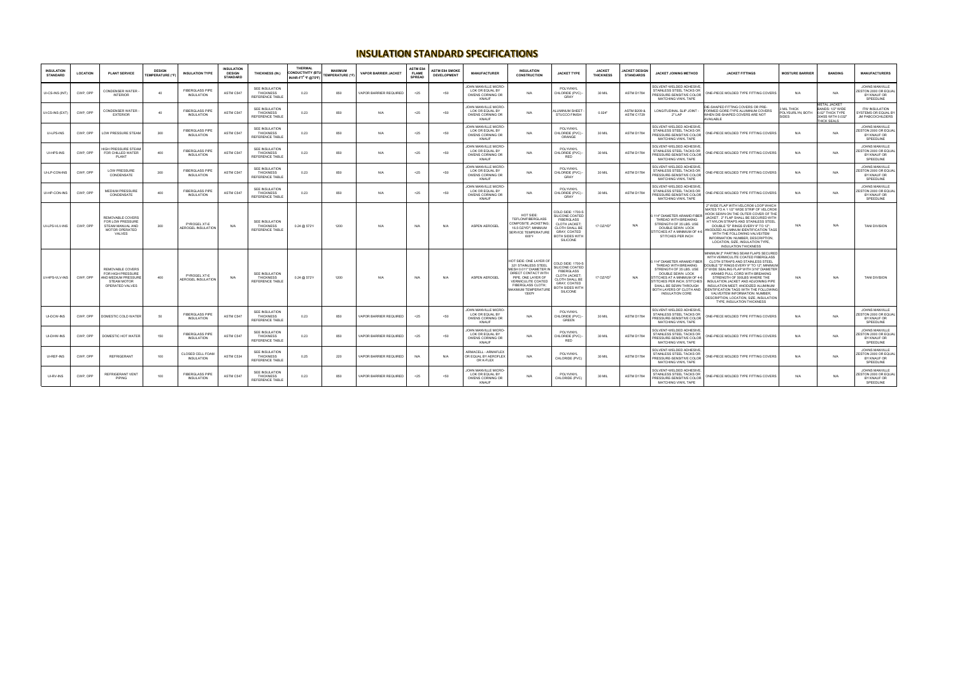## **INSULATION STANDARD SPECIFICATIONS**

| <b>INSULATION</b><br><b>STANDARD</b> | <b>LOCATION</b> | <b>PLANT SERVICE</b>                                                                           | <b>DESIGN</b><br><b>FEMPERATURE (°F)</b> | <b>INSULATION TYPE</b>                     | <b>INSULATION</b><br><b>DESIGN</b><br><b>STANDARD</b> | <b>THICKNESS (IN.)</b>                                              | THERMAL<br><b>CONDUCTIVITY (BTU</b><br>IN/HR-FT <sup>2</sup> °F @75°F) | <b>MAXIMUM</b><br><b>TEMPERATURE (°F)</b> | <b>VAPOR BARRIER JACKET</b> | <b>ASTM E84</b><br><b>FLAME</b><br><b>SPREAD</b> | <b>ASTM E84 SMOKE</b><br><b>DEVELOPMENT</b> | <b>MANUFACTURER</b>                                                       | <b>INSULATION</b><br><b>CONSTRUCTION</b>                                                                                                                                                                 | <b>JACKET TYPE</b>                                                                                                                                       | <b>JACKET</b><br><b>THICKNESS</b> | <b>JACKET DESIGN</b><br><b>STANDARDS</b> | JACKET JOINING METHOD                                                                                                                                                                                                                           | <b>JACKET FITTINGS</b>                                                                                                                                                                                                                                                                                                                                                                                                                                                                                               | <b>MOSTURE BARRIER</b>                 | <b>BANDING</b>                                                                                  | <b>MANUFACTURERS</b>                                                      |
|--------------------------------------|-----------------|------------------------------------------------------------------------------------------------|------------------------------------------|--------------------------------------------|-------------------------------------------------------|---------------------------------------------------------------------|------------------------------------------------------------------------|-------------------------------------------|-----------------------------|--------------------------------------------------|---------------------------------------------|---------------------------------------------------------------------------|----------------------------------------------------------------------------------------------------------------------------------------------------------------------------------------------------------|----------------------------------------------------------------------------------------------------------------------------------------------------------|-----------------------------------|------------------------------------------|-------------------------------------------------------------------------------------------------------------------------------------------------------------------------------------------------------------------------------------------------|----------------------------------------------------------------------------------------------------------------------------------------------------------------------------------------------------------------------------------------------------------------------------------------------------------------------------------------------------------------------------------------------------------------------------------------------------------------------------------------------------------------------|----------------------------------------|-------------------------------------------------------------------------------------------------|---------------------------------------------------------------------------|
| UI-CS-INS (INT)                      | CWP, OPP        | CONDENSER WATER<br><b>INTERIOR</b>                                                             | 40                                       | <b>FIBERGLASS PIPE</b><br>INSULATION       | ASTM C547                                             | SEE INSULATION<br><b>THICKNESS</b><br>REFERENCE TABLE               | 0.23                                                                   | 850                                       | VAPOR BARRIER REQUIRED      | < 25                                             | 50<                                         | JOHN MANVILLE MICRO-<br>LOK OR EQUAL BY<br>OWENS CORNING OR<br>KNAUF      | N/A                                                                                                                                                                                                      | POLYVINYL<br>CHLORIDE (PVC) -<br>GRAY                                                                                                                    | 30 MIL                            | ASTM D1784                               | SOLVENT-WELDED ADHESIVE<br>STAINLESS STEEL TACKS OR<br>PRESSURE-SENSITIVE COLOR<br>MATCHING VINYL TAPE                                                                                                                                          | ONE-PIECE MOLDED TYPE FITTING COVERS                                                                                                                                                                                                                                                                                                                                                                                                                                                                                 | N/A                                    | N/A                                                                                             | JOHNS MANVILLE<br>ESTON 2000 OR EQUAL<br>BY KNAUF OR<br>SPEEDLINE         |
| UI-CS-INS (EXT)                      | CWP, OPP        | CONDENSER WATER<br><b>EXTERIOR</b>                                                             | 40                                       | FIBERGLASS PIPE<br><b>INSULATION</b>       | ASTM C547                                             | <b>SEE INSULATION</b><br><b>THICKNESS</b><br><b>REFERENCE TABLE</b> | 0.23                                                                   | 850                                       | N/A                         | $25$                                             | $50$                                        | OHN MANVILLE MICRO-<br>LOK OR EQUAL BY<br>OWENS CORNING OR<br>KNAUF       | N/A                                                                                                                                                                                                      | ALUMINUM SHEET<br><b>STUCCO FINISH</b>                                                                                                                   | 0.024"                            | <b>ASTM B209 &amp;</b><br>ASTM C1729     | LONGITUDINAL SLIP JOINT<br>$2"$ LAP                                                                                                                                                                                                             | DIE-SHAPED FITTING COVERS OR PRE-<br>FORMED GORE-TYPE ALUMINUM COVERS<br>WHEN DIE-SHAPED COVERS ARE NOT<br>AVAILABLE                                                                                                                                                                                                                                                                                                                                                                                                 | MIL THICK<br>POLYSURLYN, BOTH<br>SIDES | <b>METAL JACKET</b><br>BANDS: 1/2" WIDE<br>0.02" THICK TYPE<br>304SS WITH 0.032"<br>THICK SEALS | <b>ITW INSULATION</b><br>YSTEMS OR EQUAL BY<br>JM PABCO/CHILDERS          |
| UI-LPS-INS                           | CWP, OPP        | LOW PRESSURE STEAM                                                                             | 300                                      | <b>FIBERGLASS PIPE</b><br>INSULATION       | ASTM C547                                             | SEE INSULATION<br><b>THICKNESS</b><br>REFERENCE TABLE               | 0.23                                                                   | 850                                       | N/A                         | $25$                                             | $50$                                        | JOHN MANVILLE MICRO-<br>LOK OR EQUAL BY<br>OWENS CORNING OR<br>KNAUF      | N/A                                                                                                                                                                                                      | POLYVINYL<br>CHLORIDE (PVC) -<br>ORANGE                                                                                                                  | 30 MIL                            | ASTM D1784                               | SOLVENT-WELDED ADHESIVE<br>STAINLESS STEEL TACKS OR<br>PRESSURE-SENSITIVE COLOR<br>MATCHING VINYL TAPE                                                                                                                                          | ONE-PIECE MOLDED TYPE FITTING COVERS                                                                                                                                                                                                                                                                                                                                                                                                                                                                                 | N/A                                    | N/A                                                                                             | JOHNS MANVILLE<br>ESTON 2000 OR EQUAL<br>BY KNAUF OR<br>SPEEDLINE         |
| UI-HPS-INS                           | CWP, OPP        | <b>IIGH PRESSURE STEAM</b><br>FOR CHILLED WATER<br>PLANT                                       | 400                                      | <b>FIBERGLASS PIPE</b><br>INSULATION       | ASTM C547                                             | <b>SEE INSULATION</b><br><b>THICKNESS</b><br>REFERENCE TABLE        | 0.23                                                                   | 850                                       | N/A                         | $25$                                             | $50$                                        | OHN MANVILLE MICRO-<br>LOK OR EQUAL BY<br>OWENS CORNING OR<br>KNAUF       | N/A                                                                                                                                                                                                      | POLYVINYL<br>CHLORIDE (PVC) -<br><b>RFD</b>                                                                                                              | 30 MIL                            | <b>ASTM D1784</b>                        | SOLVENT-WELDED ADHESIVE.<br>STAINLESS STEEL TACKS OR<br>PRESSURE-SENSITIVE COLOR<br>MATCHING VINYL TAPE                                                                                                                                         | ONE-PIECE MOLDED TYPE FITTING COVERS                                                                                                                                                                                                                                                                                                                                                                                                                                                                                 | N/A                                    | N/A                                                                                             | JOHNS MANVILLE<br>ESTON 2000 OR EQUAL<br>BY KNAUF OR<br>SPEEDLINE         |
| UI-LP-CON-INS                        | CWP, OPP        | <b>LOW PRESSURE</b><br>CONDENSATE                                                              | 300                                      | FIBERGLASS PIPE<br>INSULATION              | ASTM C547                                             | SEE INSULATION<br><b>THICKNESS</b><br>REFERENCE TABLE               | 0.23                                                                   | 850                                       | N/A                         | $25$                                             | $50$                                        | JOHN MANVILLE MICRO-<br>LOK OR EQUAL BY<br>OWENS CORNING OR<br>KNAUF      | N/A                                                                                                                                                                                                      | POI YVINYI<br>CHLORIDE (PVC) -<br>GRAY                                                                                                                   | 30 MIL                            | ASTM D1784                               | SOLVENT-WELDED ADHESIVE.<br>STAINLESS STEEL TACKS OR<br>PRESSURE-SENSITIVE COLOR<br>MATCHING VINYL TAPE                                                                                                                                         | ONE-PIECE MOLDED TYPE FITTING COVERS                                                                                                                                                                                                                                                                                                                                                                                                                                                                                 | N/A                                    | N/A                                                                                             | <b>JOHNS MANVILLE</b><br>ESTON 2000 OR EQUAI<br>BY KNAUF OR<br>SPEEDLINE  |
| UI-HP-CON-INS                        | CWP, OPP        | <b>MEDIUM PRESSURE</b><br>CONDENSATE                                                           | 400                                      | <b>FIBERGI ASS PIPE</b><br>INSULATION      | ASTM C547                                             | <b>SEE INSULATION</b><br><b>THICKNESS</b><br>REFERENCE TABLE        | 0.23                                                                   | 850                                       | N/A                         | $25$                                             | 50                                          | OHN MANVILLE MICRO<br>LOK OR EQUAL BY<br>OWENS CORNING OR<br><b>KNAUF</b> | N/A                                                                                                                                                                                                      | POI YVINYI<br>CHLORIDE (PVC)<br>GRAY                                                                                                                     | 30 MIL                            | ASTM D1784                               | SOLVENT-WELDED ADHESIVE<br>STAINLESS STEEL TACKS OR<br>PRESSURE-SENSITIVE COLOR<br>MATCHING VINYL TAPE                                                                                                                                          | ONE-PIECE MOLDED TYPE FITTING COVERS                                                                                                                                                                                                                                                                                                                                                                                                                                                                                 | N/A                                    | N/A                                                                                             | JOHNS MANVILLE<br><b>ESTON 2000 OR EQUA</b><br>BY KNAUF OR<br>SPEEDLINE   |
| UI-LPS-VLV-INS                       | CWP, OPP        | REMOVABLE COVERS<br>FOR LOW PRESSURE<br>STEAM MANUAL AND<br>MOTOR OPERATED<br>VALVES           | 300                                      | PYROGEL XT-E<br><b>AEROGEL INSULATION</b>  | N/A                                                   | SEE INSULATION<br><b>THICKNESS</b><br>REFERENCE TABLE               | 0.24 @ 572*F                                                           | 1200                                      | N/A                         | N/A                                              | N/A                                         | ASPEN AEROGEL                                                             | HOT SIDE:<br>TEFLON/FIBERGLASS<br>COMPOSITE JACKETING<br>$16.5$ OZ/YD <sup>2</sup> : MINIMUM<br><b>SERVICE TEMPERATURE</b><br>600°F                                                                      | COLD SIDE: 1700-9<br>SILICONE COATED<br><b>FIBERGLASS</b><br><b>CLOTH JACKET</b><br>CLOTH SHALL BE<br>GRAY, COATED<br>BOTH SIDES WITH<br>SILICONE        | 17 $OZND2$                        | N/A                                      | 114" DIAMETER ARAMID FIBER<br>THREAD WITH BREAKING<br>STRENGTH OF 35 LBS, USE<br>DOUBLE SEWN LOCK<br>TITCHES AT A MINIMUM OF 4-6<br>STITCHES PER INCH                                                                                           | 2" WIDE FLAP WITH VELCRO® LOOP WHICH<br>MATES TO A 1 1/2" WIDE STRIP OF VELCRO®<br>HOOK SEWN ON THE OUTER COVER OF THE<br>JACKET. 2" FLAP SHALL BE SECURED WITH<br>HT NYLON STRAPS AND STAINLESS STEEL<br>DOUBLE "D" RINGS EVERY 9" TO 12";<br>NODIZED ALUMINUM IDENTIFICATION TAGS<br>WITH THE FOLLOWING VALVE/ITEM<br>INFORMATION: NUMBER, DESCRIPTION.<br>LOCATION, SIZE, INSULATION TYPE,<br><b>INSULATION THICKNESS</b>                                                                                         | N/A                                    | N/A                                                                                             | <b>TANI DIVISION</b>                                                      |
| UI-HPS-VLV-INS                       | CWP, OPP        | REMOVABLE COVERS<br>FOR HIGH PRESSURE<br>AND MEDIUM PRESSURI<br>STFAM MOTOR<br>OPERATED VALVES | 400                                      | PYROGEL XT-E<br><b>AEROGEL INSULATION</b>  | N/A                                                   | SEE INSULATION<br>THICKNESS<br>REFERENCE TABLE                      | 0.24 @ 572*F                                                           | 1200                                      | N/A                         | N/A                                              | N/A                                         | ASPEN AEROGEL                                                             | HOT SIDE: ONE LAYER OF<br>321 STAINLESS STEEL<br>MESH 0.011" DIAMETER IN<br>DIRECT CONTACT WITH<br>PIPE, ONE LAYER OF<br>VERMICULITE COATED<br><b>FIBERGLASS CLOTH;</b><br>MAXIMUM TEMPERATURE<br>1500°F | COLD SIDE: 1700-S<br>SILICONE COATED<br><b>FIBERGLASS</b><br><b>CLOTH JACKET</b><br><b>CLOTH SHALL BE</b><br>GRAY, COATED<br>BOTH SIDES WITH<br>SILICONE | 17 $OZND^2$                       | N/A                                      | 114" DIAMETER ARAMID FIBER<br>THREAD WITH BREAKING<br>STRENGTH OF 35 LBS. USE<br>DOUBLE SEWN LOCK<br>STITCHES AT A MINIMUM OF 4-6<br>STITCHES PER INCH: STITCHES<br>SHALL BE SEWN THROUGH<br>BOTH LAYERS OF CLOTH AND<br><b>INSULATION CORE</b> | MINIMUM 2" PARTING SEAM FLAPS SECURED<br>WITH VERMICULITE COATED FIBERGLASS<br>CLOTH STRAPS AND STAINLESS STEEL<br>DOUBLE "D" RINGS EVERY 9" TO 12"; MINIMUM<br>" WIDE SEALING FLAP WITH 3/16" DIAMETER<br>ARAMID PULL CORD WITH BREAKING<br>STRENGTH OF 500LBS WHERE THE<br>INSULATION JACKET AND ADJOINING PIPE<br>INSULATION MEET; ANODIZED ALUMINUM<br><b>IDENTIFICATION TAGS WITH THE FOLLOWING</b><br>VALVE/ITEM INFORMATION: NUMBER,<br>DESCRIPTION, LOCATION, SIZE, INSULATION<br>TYPE, INSULATION THICKNESS | N/A                                    | N/A                                                                                             | <b>TANI DIVISION</b>                                                      |
| UI-DCW-INS                           | CWP OPP         | OMESTIC COLD WATER                                                                             | 50                                       | <b>FIBERGLASS PIPE</b><br>INSULATION       | ASTM C547                                             | <b>SEE INSULATION</b><br><b>THICKNESS</b><br>REFERENCE TABLE        | 0.23                                                                   | 850                                       | VAPOR BARRIER REQUIRED      | $25$                                             | 50<                                         | JOHN MANVILLE MICRO-<br>LOK OR EQUAL BY<br>OWENS CORNING OR<br>KNAUF      | N/A                                                                                                                                                                                                      | POLYVINYL<br>CHLORIDE (PVC)<br>GREEN                                                                                                                     | 30 MIL                            | ASTM D1784                               | SOLVENT-WELDED ADHESIVE<br>STAINLESS STEEL TACKS OR<br>PRESSURE-SENSITIVE COLOR<br>MATCHING VINYL TAPE                                                                                                                                          | ONE-PIECE MOLDED TYPE FITTING COVERS                                                                                                                                                                                                                                                                                                                                                                                                                                                                                 | N/A                                    | N/A                                                                                             | JOHNS MANVILLE<br>ZESTON 2000 OR EQUAL<br>BY KNAUF OR<br>SPEEDLINE        |
| UI-DHW-INS                           | CWP, OPP        | DOMESTIC HOT WATER                                                                             | 150                                      | <b>IBERGLASS PIPE</b><br><b>INSULATION</b> | ASTM C547                                             | <b>SEE INSULATION</b><br><b>THICKNESS</b><br><b>REFERENCE TABLE</b> | 0.23                                                                   | 850                                       | VAPOR BARRIER REQUIRED      | $25$                                             | $50$                                        | JOHN MANVILLE MICRO-<br>LOK OR EQUAL BY<br>OWENS CORNING OR<br>KNAUF      | N/A                                                                                                                                                                                                      | POLYVINYL<br>CHLORIDE (PVC) -<br>RED                                                                                                                     | 30 MIL                            | ASTM D1784                               | SOLVENT-WELDED ADHESIVE.<br>STAINLESS STEEL TACKS OR<br>PRESSURE-SENSITIVE COLOR<br>MATCHING VINYL TAPE                                                                                                                                         | ONE-PIECE MOLDED TYPE FITTING COVERS                                                                                                                                                                                                                                                                                                                                                                                                                                                                                 | N/A                                    | N/A                                                                                             | <b>JOHNS MANVILLE</b><br>STON 2000 OR EQUAL<br>BY KNAUF OR<br>SPEEDLINE   |
| UI-REF-INS                           | CWP. OPP        | <b>REFRIGERANT</b>                                                                             | 100                                      | CLOSED CELL FOAM<br>INSULATION             | ASTM C534                                             | <b>SEE INSULATION</b><br><b>THICKNESS</b><br>REFERENCE TABLE        | 0.25                                                                   | 220                                       | VAPOR BARRIER REQUIRED      | N/A                                              | N/A                                         | RMACELL - ARMAFLEX<br>OR EQUAL BY AEROFLEX<br>OR K-FLEX                   | N/A                                                                                                                                                                                                      | POLYVINYL<br>CHLORIDE (PVC)                                                                                                                              | 30 MIL                            | ASTM D1784                               | SOLVENT-WELDED ADHESIVE.<br>STAINLESS STEEL TACKS OR<br>PRESSURE-SENSITIVE COLOR<br>MATCHING VINYL TAPE                                                                                                                                         | ONE-PIECE MOLDED TYPE FITTING COVERS                                                                                                                                                                                                                                                                                                                                                                                                                                                                                 | N/A                                    | N/A                                                                                             | JOHNS MANVILLE<br>ESTON 2000 OR EQUAL<br>BY KNAUF OR<br>SPEEDLINE         |
| UI-RV-INS                            | CWP, OPP        | <b>REFRIGERANT VENT</b><br>PIPING                                                              | 100                                      | <b>FIBERGLASS PIPE</b><br>INSULATION       | ASTM C547                                             | <b>SEE INSULATION</b><br><b>THICKNESS</b><br>REFERENCE TABLE        | 0.23                                                                   | 850                                       | VAPOR BARRIER REQUIRED      | $25$                                             | < 50                                        | JOHN MANVILLE MICRO-<br>LOK OR EQUAL BY<br>OWENS CORNING OR<br>KNAUF      | N/A                                                                                                                                                                                                      | POLYVINYL<br>CHLORIDE (PVC)                                                                                                                              | 30 MIL                            | ASTM D1784                               | SOLVENT-WELDED ADHESIVE<br>STAINLESS STEEL TACKS OR<br>PRESSURE-SENSITIVE COLOR<br>MATCHING VINYL TAPE                                                                                                                                          | ONE-PIECE MOLDED TYPE FITTING COVERS                                                                                                                                                                                                                                                                                                                                                                                                                                                                                 | N/A                                    | N/A                                                                                             | <b>JOHNS MANVILLE</b><br>ZESTON 2000 OR EQUAL<br>BY KNAUF OR<br>SPEEDLINE |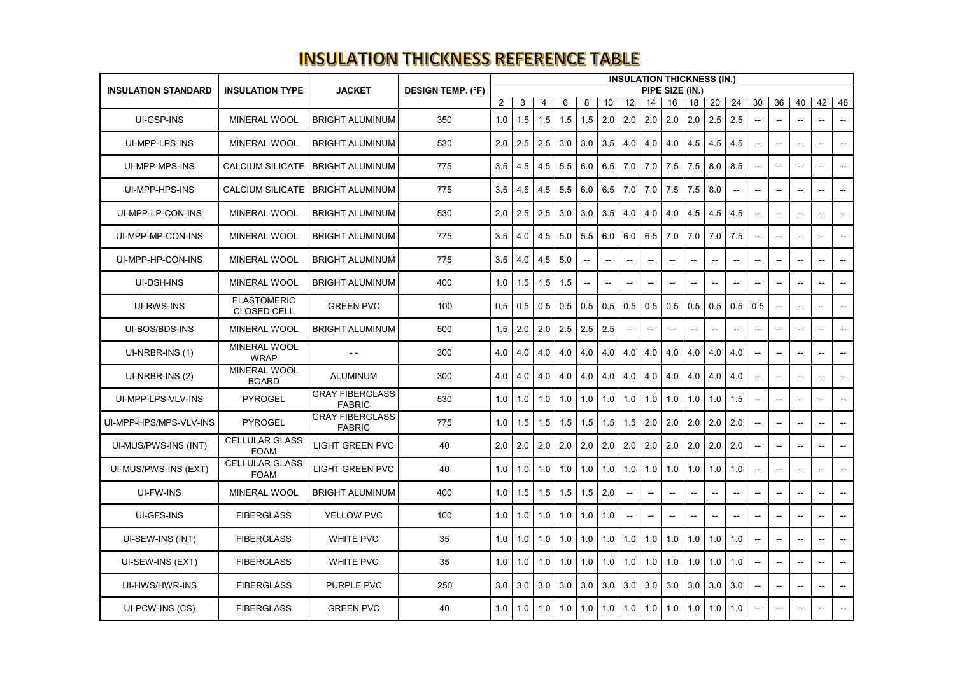## **INSULATION THICKNESS REFERENCE TABLE**

|                            |                                          |                                         |                          |                 |              | <b>INSULATION THICKNESS (IN.)</b> |     |                          |              |               |        |               |                   |     |                          |                          |                          |                                                |                          |                          |
|----------------------------|------------------------------------------|-----------------------------------------|--------------------------|-----------------|--------------|-----------------------------------|-----|--------------------------|--------------|---------------|--------|---------------|-------------------|-----|--------------------------|--------------------------|--------------------------|------------------------------------------------|--------------------------|--------------------------|
| <b>INSULATION STANDARD</b> | <b>INSULATION TYPE</b>                   | <b>JACKET</b>                           | <b>DESIGN TEMP. (°F)</b> | PIPE SIZE (IN.) |              |                                   |     |                          |              |               |        |               |                   |     |                          |                          |                          |                                                |                          |                          |
|                            |                                          |                                         |                          | $\overline{2}$  | $\mathbf{3}$ | 4                                 | 6   | 8                        | 10           | 12            | 14     | 16            | 18                | 20  | 24                       | 30                       | 36                       | 40                                             | 42                       | 48                       |
| UI-GSP-INS                 | <b>MINERAL WOOL</b>                      | <b>BRIGHT ALUMINUM</b>                  | 350                      | 1.0             | 1.5          | 1.5                               | 1.5 | 1.5                      | 2.0          | 2.0           | 2.0    |               | $2.0$ 2.0         | 2.5 | 2.5                      |                          | $\sim$ $-$               | $\sim$                                         |                          |                          |
| UI-MPP-LPS-INS             | <b>MINERAL WOOL</b>                      | <b>BRIGHT ALUMINUM</b>                  | 530                      | 2.0             | 2.5          | 2.5                               | 3.0 | 3.0                      | 3.5          | 4.0           | 4.0    | 4.0           | 4.5               | 4.5 | 4.5                      | $-$                      | --                       | $\sim$                                         |                          |                          |
| UI-MPP-MPS-INS             | <b>CALCIUM SILICATE</b>                  | <b>BRIGHT ALUMINUM</b>                  | 775                      | 3.5             | 4.5          | 4.5                               | 5.5 |                          | 6.0   6.5    | 7.0           | 7.0    | 7.5           | 7.5               | 8.0 | $\vert 8.5 \vert$        | $\overline{\phantom{a}}$ | $\sim$                   | $\sim$                                         |                          |                          |
| UI-MPP-HPS-INS             | <b>CALCIUM SILICATE</b>                  | <b>BRIGHT ALUMINUM</b>                  | 775                      | 3.5             | 4.5          | 4.5                               | 5.5 |                          | 6.0   6.5    | 7.0           | 7.0    | 7.5           | 7.5               | 8.0 |                          |                          |                          | $\sim$ $\sim$                                  |                          |                          |
| UI-MPP-LP-CON-INS          | <b>MINERAL WOOL</b>                      | <b>BRIGHT ALUMINUM</b>                  | 530                      | 2.0             | 2.5          | 2.5                               | 3.0 |                          | $3.0$ 3.5    | 4.0           | 4.0    |               | $4.0 \,   \, 4.5$ | 4.5 | 4.5                      |                          | $- -$                    | $\hspace{0.1mm}-\hspace{0.1mm}-\hspace{0.1mm}$ |                          |                          |
| UI-MPP-MP-CON-INS          | <b>MINERAL WOOL</b>                      | <b>BRIGHT ALUMINUM</b>                  | 775                      | 3.5             | 4.0          | 4.5                               | 5.0 |                          | 5.5   6.0    | 6.0           | 6.5    | 7.0           | 7.0               | 7.0 | 7.5                      |                          |                          | $\sim$                                         |                          |                          |
| UI-MPP-HP-CON-INS          | MINERAL WOOL                             | <b>BRIGHT ALUMINUM</b>                  | 775                      | 3.5             | 4.0          | 4.5                               | 5.0 | $- -$                    |              |               |        |               |                   |     |                          |                          | --                       | $\sim$                                         |                          |                          |
| UI-DSH-INS                 | <b>MINERAL WOOL</b>                      | <b>BRIGHT ALUMINUM</b>                  | 400                      | 1.0             | 1.5          | 1.5                               | 1.5 | $\overline{\phantom{a}}$ | $\mathbf{u}$ | $\mathbf{u}$  | $\sim$ | $\mathbf{u}$  | $-$               |     | $\overline{\phantom{a}}$ | $\sim$                   | $\sim$                   | $\sim$                                         |                          |                          |
| <b>UI-RWS-INS</b>          | <b>ELASTOMERIC</b><br><b>CLOSED CELL</b> | <b>GREEN PVC</b>                        | 100                      | 0.5             | 0.5          | 0.5                               | 0.5 | 0.5                      | 0.5          | 0.5           | 0.5    | 0.5           | 0.5               |     | $0.5$ 0.5                | 0.5                      | $\overline{\phantom{a}}$ | $\sim$                                         |                          |                          |
| UI-BOS/BDS-INS             | <b>MINERAL WOOL</b>                      | <b>BRIGHT ALUMINUM</b>                  | 500                      | 1.5             | 2.0          | 2.0                               | 2.5 |                          | $2.5$ 2.5    | $\mathbf{u}$  | $\sim$ |               |                   |     |                          |                          |                          | $\sim$                                         |                          |                          |
| UI-NRBR-INS (1)            | MINERAL WOOL<br><b>WRAP</b>              |                                         | 300                      | 4.0             | 4.0          | 4.0                               | 4.0 | 4.0                      | 4.0          | 4.0           | 4.0    | 4.0           | 4.0               |     | $4.0 \,   \, 4.0$        | $\mathbf{u}$             | $\sim$ $\sim$            | $\hspace{0.05cm}$                              |                          |                          |
| UI-NRBR-INS (2)            | MINERAL WOOL<br><b>BOARD</b>             | <b>ALUMINUM</b>                         | 300                      | 4.0             | 4.0          | 4.0                               | 4.0 | 4.0                      | 4.0          | 4.0           | 4.0    |               | $4.0 \,   \, 4.0$ |     | $4.0 \,   \, 4.0$        | $\mathbf{u}$             | --                       | $\sim$                                         |                          |                          |
| UI-MPP-LPS-VLV-INS         | <b>PYROGEL</b>                           | <b>GRAY FIBERGLASS</b><br><b>FABRIC</b> | 530                      | 1.0             | 1.0          | 1.0                               |     | $1.0$   1.0              | 1.0          | 1.0           | 1.0    | 1.0           | 1.0               | 1.0 | 1.5                      |                          |                          |                                                |                          |                          |
| UI-MPP-HPS/MPS-VLV-INS     | <b>PYROGEL</b>                           | <b>GRAY FIBERGLASS</b><br><b>FABRIC</b> | 775                      | 1.0             | 1.5          | 1.5                               | 1.5 | 1.5                      | 1.5          | 1.5           | 2.0    | 2.0           | 2.0               | 2.0 | 2.0                      | $\sim$                   | $\sim$                   | $\sim$                                         |                          |                          |
| UI-MUS/PWS-INS (INT)       | <b>CELLULAR GLASS</b><br><b>FOAM</b>     | <b>LIGHT GREEN PVC</b>                  | 40                       | 2.0             | 2.0          | 2.0                               | 2.0 |                          | $2.0$ 2.0    | 2.0           | 2.0    |               | $2.0$   2.0       |     | $2.0$   2.0              | $\mathbf{u}$             | $\sim$                   | $\overline{\phantom{a}}$                       |                          | $\overline{\phantom{a}}$ |
| UI-MUS/PWS-INS (EXT)       | <b>CELLULAR GLASS</b><br><b>FOAM</b>     | <b>LIGHT GREEN PVC</b>                  | 40                       | 1.0             | 1.0          | 1.0                               |     | $1.0$ 1.0 1.0            |              | 1.0           | 1.0    | 1.0           | 1.0               |     | $1.0$   1.0              |                          | $\overline{\phantom{a}}$ | $\sim$                                         | $\sim$                   |                          |
| <b>UI-FW-INS</b>           | <b>MINERAL WOOL</b>                      | <b>BRIGHT ALUMINUM</b>                  | 400                      | 1.0             | 1.5          | 1.5                               |     | $1.5$   $1.5$   $2.0$    |              | $\mathbf{u}$  | $\sim$ |               |                   |     |                          |                          | $-$                      | $\overline{\phantom{a}}$                       |                          |                          |
| UI-GFS-INS                 | <b>FIBERGLASS</b>                        | YELLOW PVC                              | 100                      | 1.0             | 1.0          | 1.0                               | 1.0 |                          | $1.0$ 1.0    | $\sim$ $\sim$ | $\sim$ | $\sim$ $\sim$ |                   |     |                          |                          | $- -$                    | $\sim$                                         |                          |                          |
| UI-SEW-INS (INT)           | <b>FIBERGLASS</b>                        | <b>WHITE PVC</b>                        | 35                       | 1.0             | 1.0          | 1.0                               |     | $1.0$   1.0   1.0        |              | 1.0           | 1.0    | 1.0           | 1.0               |     | $1.0$   1.0              | $\mathbf{u}$             | $\overline{\phantom{a}}$ | $\sim$                                         |                          |                          |
| UI-SEW-INS (EXT)           | <b>FIBERGLASS</b>                        | <b>WHITE PVC</b>                        | 35                       | 1.0             | 1.0          | 1.0                               |     | $1.0$   1.0              | 1.0          | 1.0           | 1.0    | 1.0           | 1.0               |     | $1.0$   1.0              | $\overline{\phantom{a}}$ | $\overline{\phantom{a}}$ | $\sim$                                         |                          |                          |
| UI-HWS/HWR-INS             | <b>FIBERGLASS</b>                        | PURPLE PVC                              | 250                      | 3.0             | 3.0          | 3.0                               |     | $3.0$ 3.0 3.0            |              | 3.0           | 3.0    |               | $3.0$ 3.0         |     | $3.0$ 3.0                | $\sim$                   | $\overline{\phantom{a}}$ | $\sim$                                         | $\overline{\phantom{m}}$ |                          |
| UI-PCW-INS (CS)            | <b>FIBERGLASS</b>                        | <b>GREEN PVC</b>                        | 40                       | 1.0             | 1.0          | 1.0                               | 1.0 | 1.0                      | 1.0          | 1.0           | 1.0    | 1.0           | 1.0               |     | $1.0$   1.0              | $\mathbf{u}$             | $\overline{\phantom{a}}$ | $\overline{\phantom{a}}$                       | $\overline{\phantom{a}}$ | Н,                       |